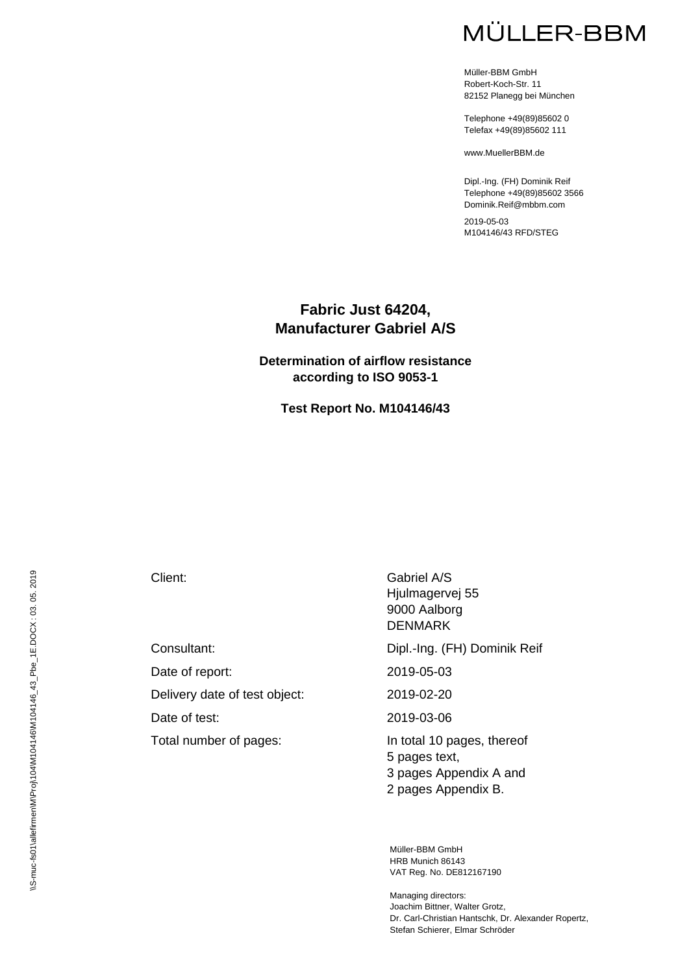Müller-BBM GmbH Robert-Koch-Str. 11 82152 Planegg bei München

Telephone +49(89)85602 0 Telefax +49(89)85602 111

www.MuellerBBM.de

Dipl.-Ing. (FH) Dominik Reif Telephone +49(89)85602 3566 Dominik.Reif@mbbm.com

2019-05-03 M104146/43 RFD/STEG

#### **Fabric Just 64204, Manufacturer Gabriel A/S**

#### **Determination of airflow resistance according to ISO 9053-1**

**Test Report No. M104146/43** 

Date of report: 2019-05-03 Delivery date of test object: 2019-02-20 Date of test: 2019-03-06 Total number of pages:<br>In total 10 pages, thereof

Client: Gabriel A/S Hjulmagervej 55 9000 Aalborg DENMARK

Consultant: Dipl.-Ing. (FH) Dominik Reif

5 pages text, 3 pages Appendix A and 2 pages Appendix B.

Müller-BBM GmbH HRB Munich 86143 VAT Reg. No. DE812167190

Managing directors: Joachim Bittner, Walter Grotz, Dr. Carl-Christian Hantschk, Dr. Alexander Ropertz, Stefan Schierer, Elmar Schröder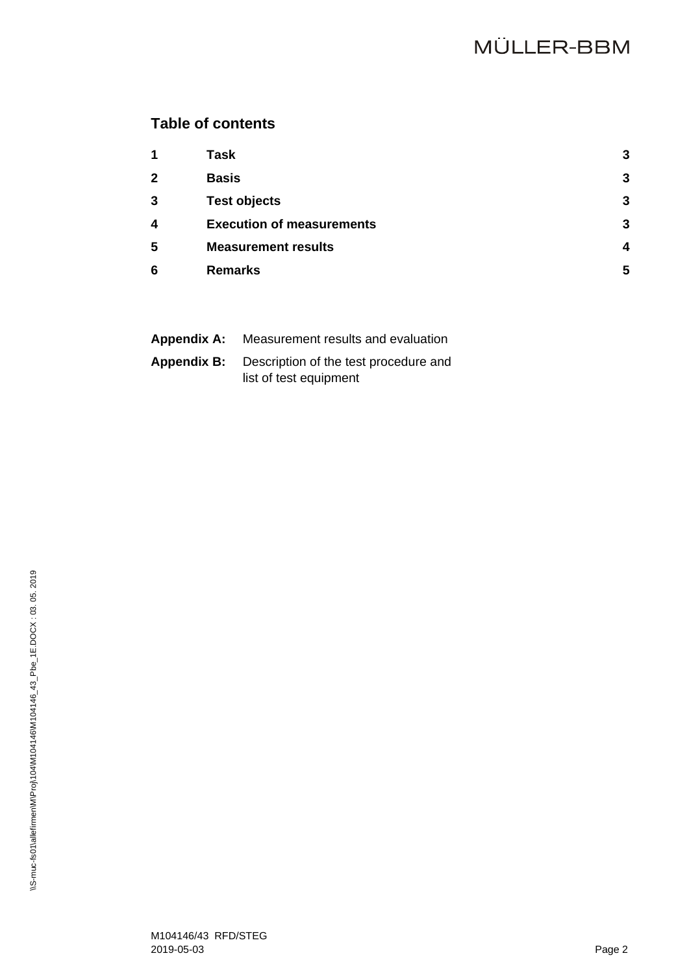## **Table of contents**

| $\mathbf 1$             | Task                             | 3 |
|-------------------------|----------------------------------|---|
| $\mathbf{2}$            | <b>Basis</b>                     | 3 |
| 3                       | <b>Test objects</b>              | 3 |
| $\overline{\mathbf{4}}$ | <b>Execution of measurements</b> | 3 |
| 5                       | <b>Measurement results</b>       | Δ |
| 6                       | <b>Remarks</b>                   | 5 |
|                         |                                  |   |

| <b>Appendix A:</b> | Measurement results and evaluation                       |
|--------------------|----------------------------------------------------------|
|                    | <b>Appendix B:</b> Description of the test procedure and |
|                    | list of test equipment                                   |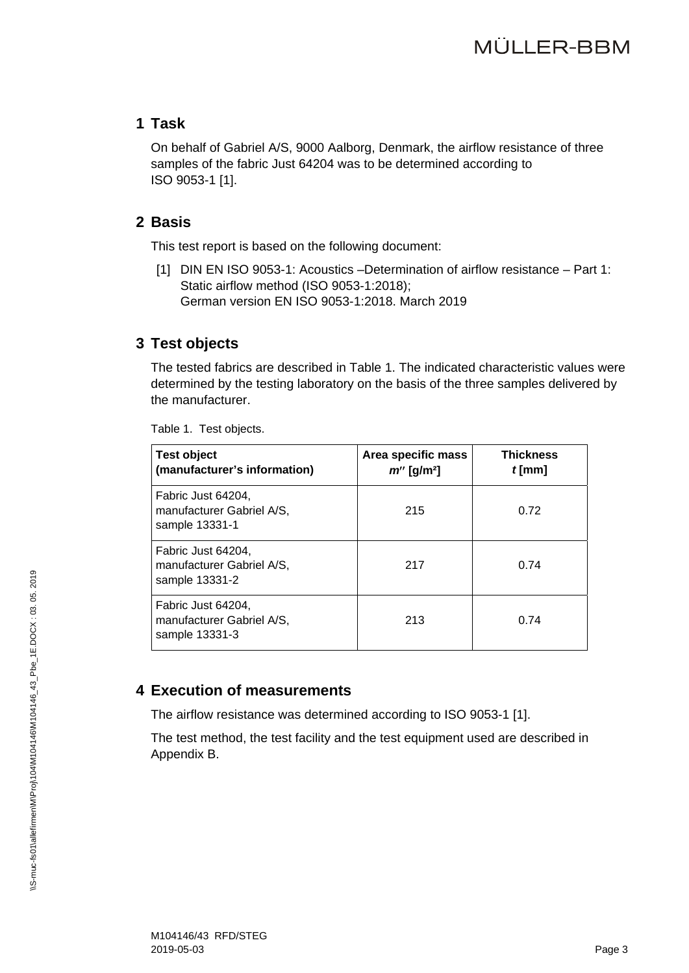### **1 Task**

On behalf of Gabriel A/S, 9000 Aalborg, Denmark, the airflow resistance of three samples of the fabric Just 64204 was to be determined according to ISO 9053-1 [1].

### **2 Basis**

This test report is based on the following document:

[1] DIN EN ISO 9053-1: Acoustics –Determination of airflow resistance – Part 1: Static airflow method (ISO 9053-1:2018); German version EN ISO 9053-1:2018. March 2019

## **3 Test objects**

The tested fabrics are described in Table 1. The indicated characteristic values were determined by the testing laboratory on the basis of the three samples delivered by the manufacturer.

| <b>Test object</b><br>(manufacturer's information)                | Area specific mass<br>$m''$ [g/m <sup>2</sup> ] | <b>Thickness</b><br>$t$ [mm] |
|-------------------------------------------------------------------|-------------------------------------------------|------------------------------|
| Fabric Just 64204,<br>manufacturer Gabriel A/S,<br>sample 13331-1 | 215                                             | 0.72                         |
| Fabric Just 64204,<br>manufacturer Gabriel A/S,<br>sample 13331-2 | 217                                             | 0.74                         |
| Fabric Just 64204,<br>manufacturer Gabriel A/S,<br>sample 13331-3 | 213                                             | 0.74                         |

Table 1. Test objects.

## **4 Execution of measurements**

The airflow resistance was determined according to ISO 9053-1 [1].

The test method, the test facility and the test equipment used are described in Appendix B.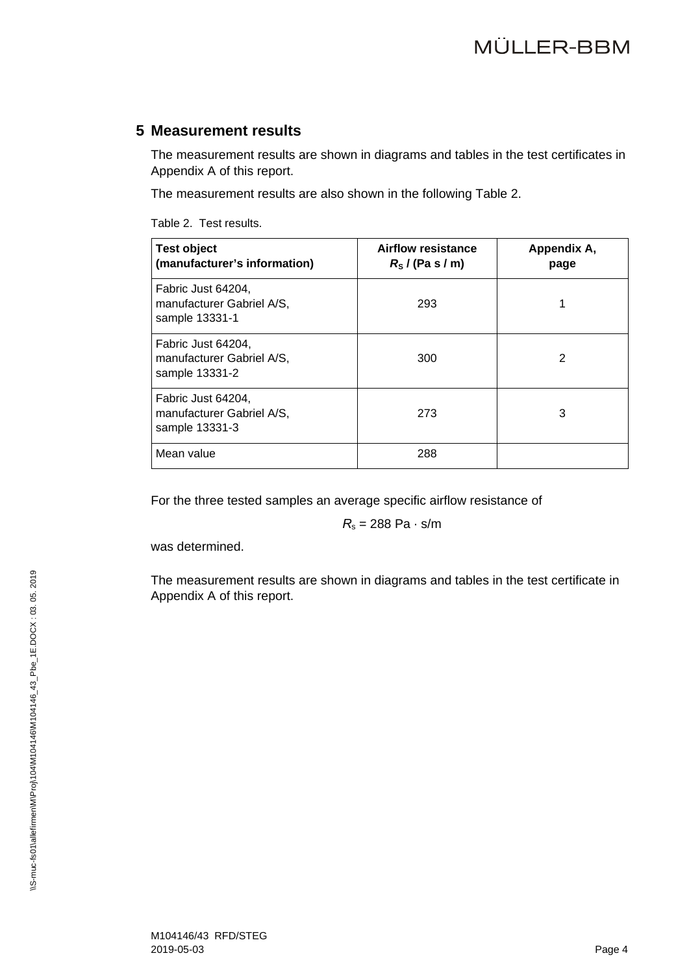#### **5 Measurement results**

The measurement results are shown in diagrams and tables in the test certificates in Appendix A of this report.

The measurement results are also shown in the following Table 2.

Table 2. Test results.

| <b>Test object</b><br>(manufacturer's information)                | <b>Airflow resistance</b><br>$R_{\rm s}$ / (Pa s / m) | Appendix A,<br>page |
|-------------------------------------------------------------------|-------------------------------------------------------|---------------------|
| Fabric Just 64204,<br>manufacturer Gabriel A/S,<br>sample 13331-1 | 293                                                   |                     |
| Fabric Just 64204,<br>manufacturer Gabriel A/S,<br>sample 13331-2 | 300                                                   | 2                   |
| Fabric Just 64204,<br>manufacturer Gabriel A/S,<br>sample 13331-3 | 273                                                   | 3                   |
| Mean value                                                        | 288                                                   |                     |

For the three tested samples an average specific airflow resistance of

 $R_s = 288$  Pa  $\cdot$  s/m

was determined.

The measurement results are shown in diagrams and tables in the test certificate in Appendix A of this report.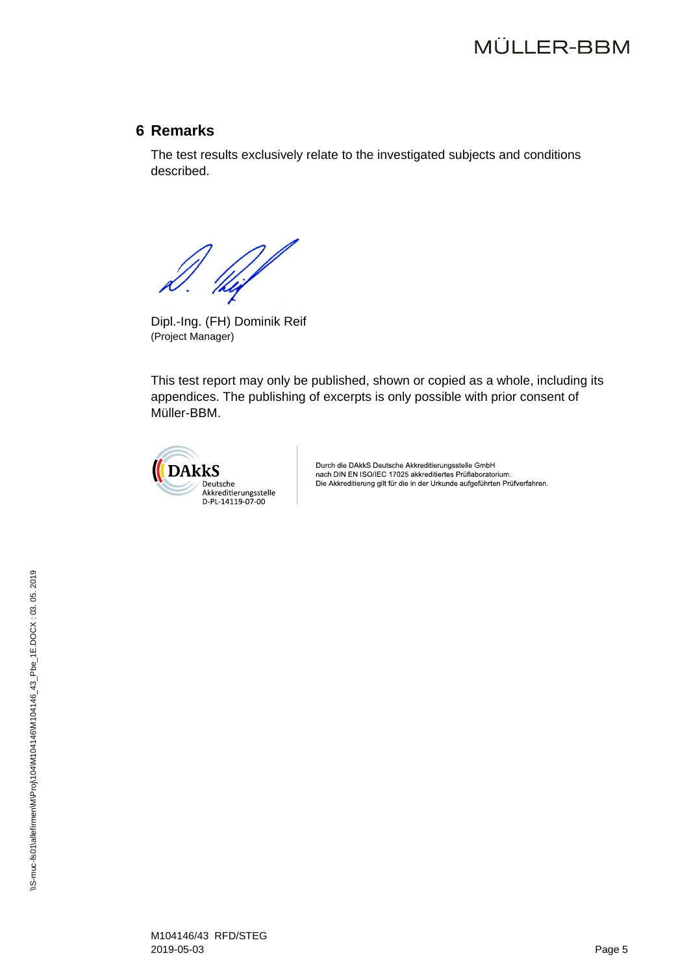#### **6 Remarks**

The test results exclusively relate to the investigated subjects and conditions described.

 $\frac{1}{\frac{1}{\log 2}}$ 

Dipl.-Ing. (FH) Dominik Reif (Project Manager)

This test report may only be published, shown or copied as a whole, including its appendices. The publishing of excerpts is only possible with prior consent of Müller-BBM.



Durch die DAkkS Deutsche Akkreditierungsstelle GmbH<br>nach DIN EN ISO/IEC 17025 akkreditiertes Prüflaboratorium. Die Akkreditierung gilt für die in der Urkunde aufgeführten Prüfverfahren.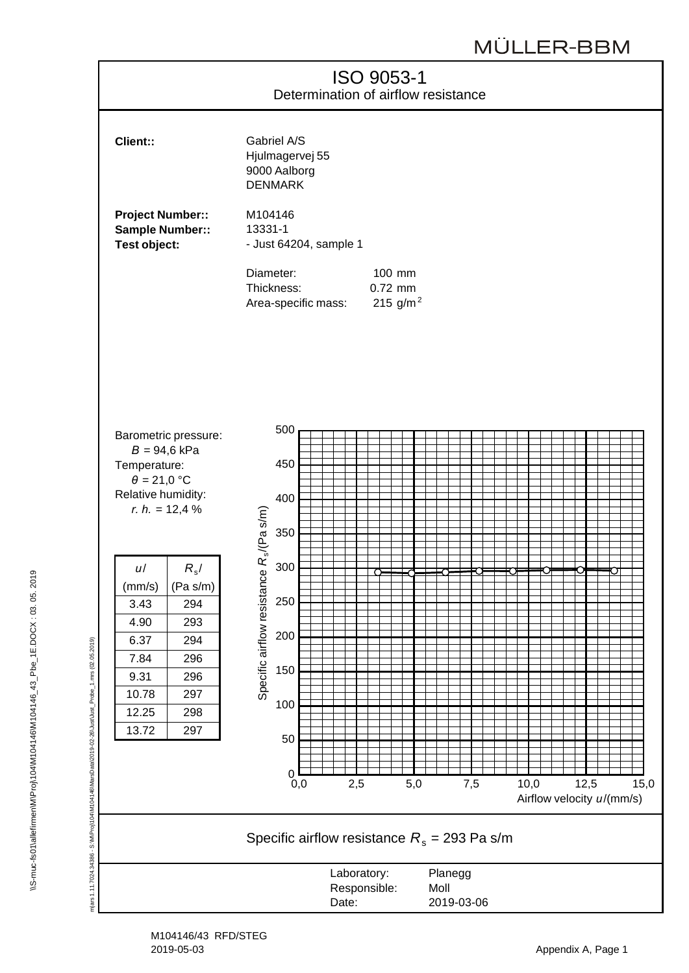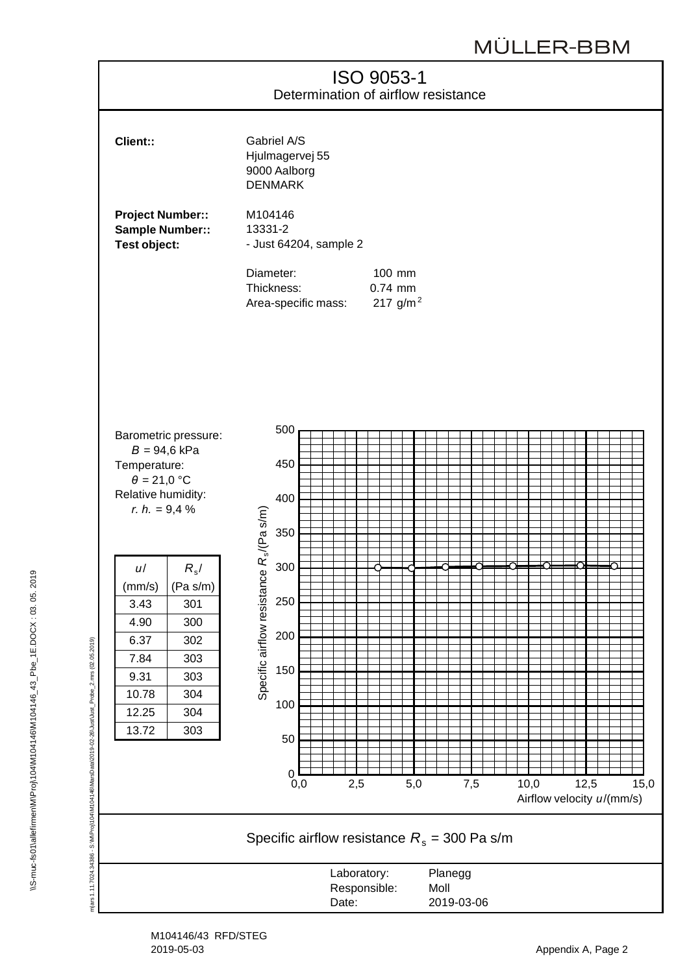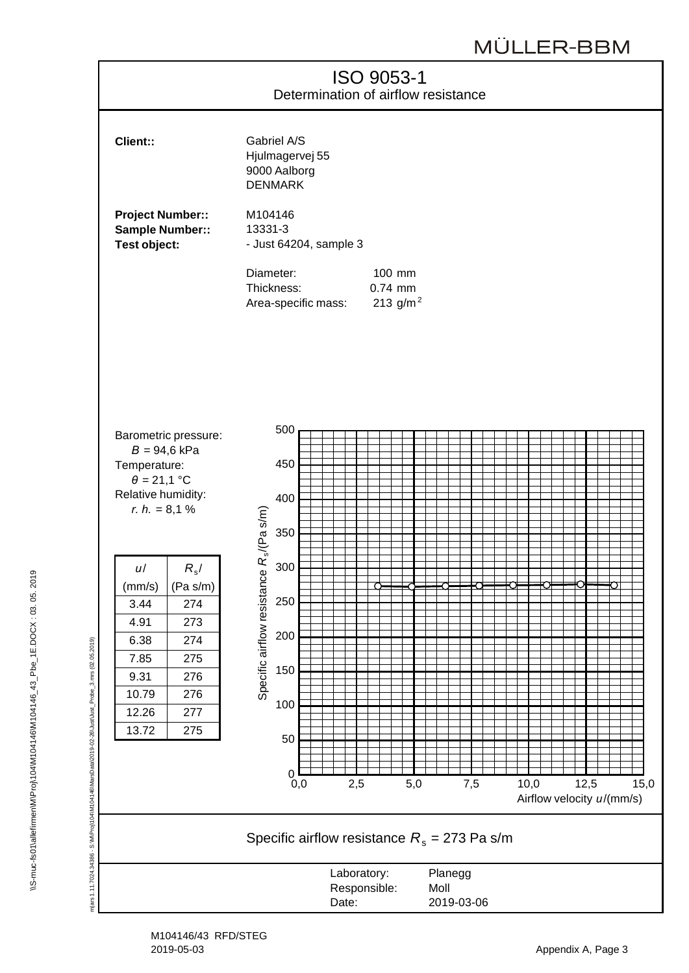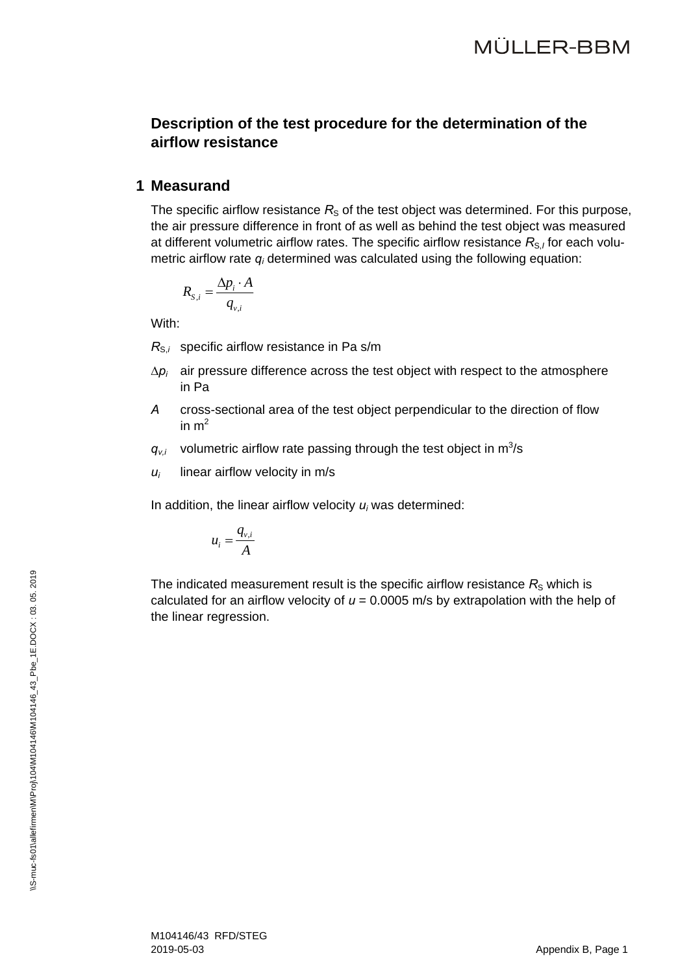### **Description of the test procedure for the determination of the airflow resistance**

#### **1 Measurand**

The specific airflow resistance  $R<sub>S</sub>$  of the test object was determined. For this purpose, the air pressure difference in front of as well as behind the test object was measured at different volumetric airflow rates. The specific airflow resistance R<sub>S,I</sub> for each volumetric airflow rate *qi* determined was calculated using the following equation:

$$
R_{S,i} = \frac{\Delta p_i \cdot A}{q_{v,i}}
$$

With:

 $R_{S,i}$  specific airflow resistance in Pa s/m

- $\Delta p_i$  air pressure difference across the test object with respect to the atmosphere in Pa
- *A* cross-sectional area of the test object perpendicular to the direction of flow in  $m<sup>2</sup>$
- $q_{v,i}$  volumetric airflow rate passing through the test object in  $m^3/s$
- $u_i$  linear airflow velocity in m/s

In addition, the linear airflow velocity *ui* was determined:

$$
u_i = \frac{q_{v,i}}{A}
$$

The indicated measurement result is the specific airflow resistance  $R<sub>S</sub>$  which is calculated for an airflow velocity of  $u = 0.0005$  m/s by extrapolation with the help of the linear regression.